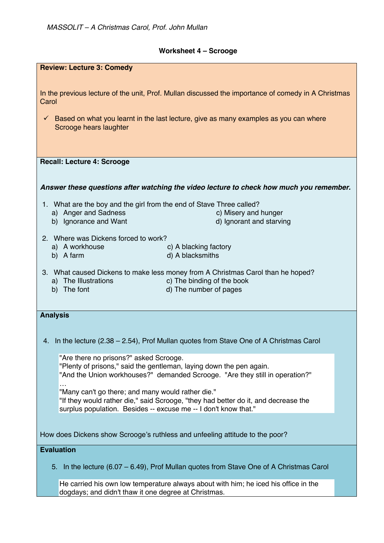## **Worksheet 4 – Scrooge**

| <b>Review: Lecture 3: Comedy</b>                                                                                            |
|-----------------------------------------------------------------------------------------------------------------------------|
|                                                                                                                             |
| In the previous lecture of the unit, Prof. Mullan discussed the importance of comedy in A Christmas<br>Carol                |
| $\checkmark$ Based on what you learnt in the last lecture, give as many examples as you can where<br>Scrooge hears laughter |
|                                                                                                                             |
|                                                                                                                             |
| <b>Recall: Lecture 4: Scrooge</b>                                                                                           |
|                                                                                                                             |
| Answer these questions after watching the video lecture to check how much you remember.                                     |
| 1. What are the boy and the girl from the end of Stave Three called?                                                        |
| a) Anger and Sadness<br>c) Misery and hunger                                                                                |
| d) Ignorant and starving<br>b) Ignorance and Want                                                                           |
|                                                                                                                             |
| 2. Where was Dickens forced to work?                                                                                        |
| a) A workhouse<br>c) A blacking factory                                                                                     |
| d) A blacksmiths<br>b) A farm                                                                                               |
| 3. What caused Dickens to make less money from A Christmas Carol than he hoped?                                             |
| c) The binding of the book<br>a) The Illustrations                                                                          |
| b) The font<br>d) The number of pages                                                                                       |
|                                                                                                                             |
| <b>Analysis</b>                                                                                                             |
|                                                                                                                             |
|                                                                                                                             |
| 4. In the lecture (2.38 – 2.54), Prof Mullan quotes from Stave One of A Christmas Carol                                     |
|                                                                                                                             |
| "Are there no prisons?" asked Scrooge.                                                                                      |
| "Plenty of prisons," said the gentleman, laying down the pen again.                                                         |
| "And the Union workhouses?" demanded Scrooge. "Are they still in operation?"                                                |
| "Many can't go there; and many would rather die."                                                                           |
| "If they would rather die," said Scrooge, "they had better do it, and decrease the                                          |
| surplus population. Besides -- excuse me -- I don't know that."                                                             |
|                                                                                                                             |
|                                                                                                                             |
| How does Dickens show Scrooge's ruthless and unfeeling attitude to the poor?                                                |
| <b>Evaluation</b>                                                                                                           |
|                                                                                                                             |
| In the lecture (6.07 – 6.49), Prof Mullan quotes from Stave One of A Christmas Carol<br>5.                                  |
| He carried his own low temperature always about with him; he iced his office in the                                         |
| dogdays; and didn't thaw it one degree at Christmas.                                                                        |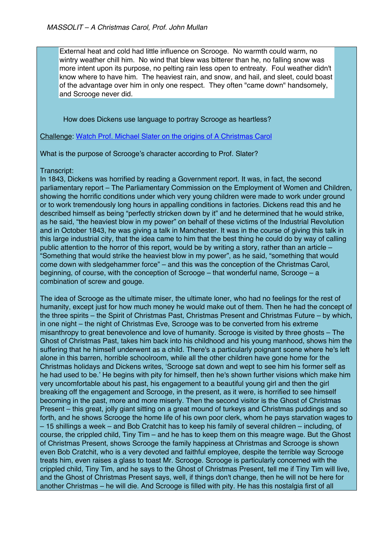External heat and cold had little influence on Scrooge. No warmth could warm, no wintry weather chill him. No wind that blew was bitterer than he, no falling snow was more intent upon its purpose, no pelting rain less open to entreaty. Foul weather didn't know where to have him. The heaviest rain, and snow, and hail, and sleet, could boast of the advantage over him in only one respect. They often "came down" handsomely, and Scrooge never did.

How does Dickens use language to portray Scrooge as heartless?

Challenge: Watch Prof. Michael Slater on the origins of A Christmas Carol

What is the purpose of Scrooge's character according to Prof. Slater?

## Transcript:

In 1843, Dickens was horrified by reading a Government report. It was, in fact, the second parliamentary report – The Parliamentary Commission on the Employment of Women and Children, showing the horrific conditions under which very young children were made to work under ground or to work tremendously long hours in appalling conditions in factories. Dickens read this and he described himself as being "perfectly stricken down by it" and he determined that he would strike, as he said, "the heaviest blow in my power" on behalf of these victims of the Industrial Revolution and in October 1843, he was giving a talk in Manchester. It was in the course of giving this talk in this large industrial city, that the idea came to him that the best thing he could do by way of calling public attention to the horror of this report, would be by writing a story, rather than an article – "Something that would strike the heaviest blow in my power", as he said, "something that would come down with sledgehammer force" – and this was the conception of the Christmas Carol, beginning, of course, with the conception of Scrooge – that wonderful name, Scrooge – a combination of screw and gouge.

The idea of Scrooge as the ultimate miser, the ultimate loner, who had no feelings for the rest of humanity, except just for how much money he would make out of them. Then he had the concept of the three spirits – the Spirit of Christmas Past, Christmas Present and Christmas Future – by which, in one night – the night of Christmas Eve, Scrooge was to be converted from his extreme misanthropy to great benevolence and love of humanity. Scrooge is visited by three ghosts – The Ghost of Christmas Past, takes him back into his childhood and his young manhood, shows him the suffering that he himself underwent as a child. There's a particularly poignant scene where he's left alone in this barren, horrible schoolroom, while all the other children have gone home for the Christmas holidays and Dickens writes, 'Scrooge sat down and wept to see him his former self as he had used to be.' He begins with pity for himself, then he's shown further visions which make him very uncomfortable about his past, his engagement to a beautiful young girl and then the girl breaking off the engagement and Scrooge, in the present, as it were, is horrified to see himself becoming in the past, more and more miserly. Then the second visitor is the Ghost of Christmas Present – this great, jolly giant sitting on a great mound of turkeys and Christmas puddings and so forth, and he shows Scrooge the home life of his own poor clerk, whom he pays starvation wages to – 15 shillings a week – and Bob Cratchit has to keep his family of several children – including, of course, the crippled child, Tiny Tim – and he has to keep them on this meagre wage. But the Ghost of Christmas Present, shows Scrooge the family happiness at Christmas and Scrooge is shown even Bob Cratchit, who is a very devoted and faithful employee, despite the terrible way Scrooge treats him, even raises a glass to toast Mr. Scrooge. Scrooge is particularly concerned with the crippled child, Tiny Tim, and he says to the Ghost of Christmas Present, tell me if Tiny Tim will live, and the Ghost of Christmas Present says, well, if things don't change, then he will not be here for another Christmas – he will die. And Scrooge is filled with pity. He has this nostalgia first of all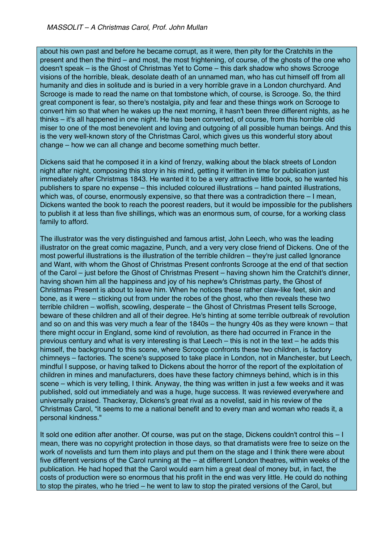about his own past and before he became corrupt, as it were, then pity for the Cratchits in the present and then the third – and most, the most frightening, of course, of the ghosts of the one who doesn't speak – is the Ghost of Christmas Yet to Come – this dark shadow who shows Scrooge visions of the horrible, bleak, desolate death of an unnamed man, who has cut himself off from all humanity and dies in solitude and is buried in a very horrible grave in a London churchyard. And Scrooge is made to read the name on that tombstone which, of course, is Scrooge. So, the third great component is fear, so there's nostalgia, pity and fear and these things work on Scrooge to convert him so that when he wakes up the next morning, it hasn't been three different nights, as he thinks – it's all happened in one night. He has been converted, of course, from this horrible old miser to one of the most benevolent and loving and outgoing of all possible human beings. And this is the very well-known story of the Christmas Carol, which gives us this wonderful story about change – how we can all change and become something much better.

Dickens said that he composed it in a kind of frenzy, walking about the black streets of London night after night, composing this story in his mind, getting it written in time for publication just immediately after Christmas 1843. He wanted it to be a very attractive little book, so he wanted his publishers to spare no expense – this included coloured illustrations – hand painted illustrations, which was, of course, enormously expensive, so that there was a contradiction there – I mean, Dickens wanted the book to reach the poorest readers, but it would be impossible for the publishers to publish it at less than five shillings, which was an enormous sum, of course, for a working class family to afford.

The illustrator was the very distinguished and famous artist, John Leech, who was the leading illustrator on the great comic magazine, Punch, and a very very close friend of Dickens. One of the most powerful illustrations is the illustration of the terrible children – they're just called Ignorance and Want, with whom the Ghost of Christmas Present confronts Scrooge at the end of that section of the Carol – just before the Ghost of Christmas Present – having shown him the Cratchit's dinner, having shown him all the happiness and joy of his nephew's Christmas party, the Ghost of Christmas Present is about to leave him. When he notices these rather claw-like feet, skin and bone, as it were – sticking out from under the robes of the ghost, who then reveals these two terrible children – wolfish, scowling, desperate – the Ghost of Christmas Present tells Scrooge, beware of these children and all of their degree. He's hinting at some terrible outbreak of revolution and so on and this was very much a fear of the 1840s – the hungry 40s as they were known – that there might occur in England, some kind of revolution, as there had occurred in France in the previous century and what is very interesting is that Leech – this is not in the text – he adds this himself, the background to this scene, where Scrooge confronts these two children, is factory chimneys – factories. The scene's supposed to take place in London, not in Manchester, but Leech, mindful I suppose, or having talked to Dickens about the horror of the report of the exploitation of children in mines and manufacturers, does have these factory chimneys behind, which is in this scene – which is very telling, I think. Anyway, the thing was written in just a few weeks and it was published, sold out immediately and was a huge, huge success. It was reviewed everywhere and universally praised. Thackeray, Dickens's great rival as a novelist, said in his review of the Christmas Carol, "it seems to me a national benefit and to every man and woman who reads it, a personal kindness."

It sold one edition after another. Of course, was put on the stage, Dickens couldn't control this – I mean, there was no copyright protection in those days, so that dramatists were free to seize on the work of novelists and turn them into plays and put them on the stage and I think there were about five different versions of the Carol running at the – at different London theatres, within weeks of the publication. He had hoped that the Carol would earn him a great deal of money but, in fact, the costs of production were so enormous that his profit in the end was very little. He could do nothing to stop the pirates, who he tried – he went to law to stop the pirated versions of the Carol, but